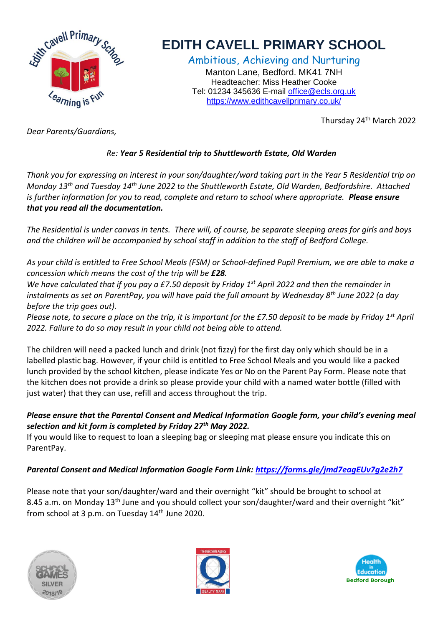

## **EDITH CAVELL PRIMARY SCHOOL**

Ambitious, Achieving and Nurturing Manton Lane, Bedford. MK41 7NH Headteacher: Miss Heather Cooke Tel: 01234 345636 E-mail [office@ecls.org.uk](mailto:office@ecls.org.uk) <https://www.edithcavellprimary.co.uk/>

Thursday 24th March 2022

*Dear Parents/Guardians,*

## *Re: Year 5 Residential trip to Shuttleworth Estate, Old Warden*

*Thank you for expressing an interest in your son/daughter/ward taking part in the Year 5 Residential trip on Monday 13th and Tuesday 14th June 2022 to the Shuttleworth Estate, Old Warden, Bedfordshire. Attached is further information for you to read, complete and return to school where appropriate. Please ensure that you read all the documentation.* 

*The Residential is under canvas in tents. There will, of course, be separate sleeping areas for girls and boys and the children will be accompanied by school staff in addition to the staff of Bedford College.*

*As your child is entitled to Free School Meals (FSM) or School-defined Pupil Premium, we are able to make a concession which means the cost of the trip will be £28.* 

*We have calculated that if you pay a £7.50 deposit by Friday 1st April 2022 and then the remainder in instalments as set on ParentPay, you will have paid the full amount by Wednesday 8th June 2022 (a day before the trip goes out).*

*Please note, to secure a place on the trip, it is important for the £7.50 deposit to be made by Friday 1st April 2022. Failure to do so may result in your child not being able to attend.* 

The children will need a packed lunch and drink (not fizzy) for the first day only which should be in a labelled plastic bag. However, if your child is entitled to Free School Meals and you would like a packed lunch provided by the school kitchen, please indicate Yes or No on the Parent Pay Form. Please note that the kitchen does not provide a drink so please provide your child with a named water bottle (filled with just water) that they can use, refill and access throughout the trip.

## *Please ensure that the Parental Consent and Medical Information Google form, your child's evening meal selection and kit form is completed by Friday 27th May 2022.*

If you would like to request to loan a sleeping bag or sleeping mat please ensure you indicate this on ParentPay.

## *Parental Consent and Medical Information Google Form Link:<https://forms.gle/jmd7eagEUv7g2e2h7>*

Please note that your son/daughter/ward and their overnight "kit" should be brought to school at 8.45 a.m. on Monday 13<sup>th</sup> June and you should collect your son/daughter/ward and their overnight "kit" from school at 3 p.m. on Tuesday 14<sup>th</sup> June 2020.